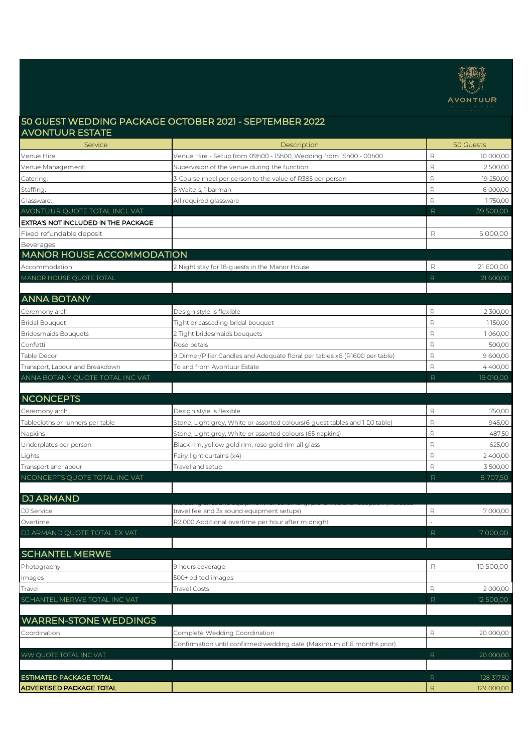

## 50 GUEST WEDDING PACKAGE OCTOBER 2021 - SEPTEMBER 2022 AVONTUUR ESTATE

| Service                             | Description                                                                 | 50 Guests                  |
|-------------------------------------|-----------------------------------------------------------------------------|----------------------------|
| Venue Hire:                         | Venue Hire - Setup from 09h00 - 15h00, Wedding from 15h00 - 00h00           | R<br>10 000,00             |
| Venue Management:                   | Supervision of the venue during the function                                | $\mathsf R$<br>2 500,00    |
| Catering:                           | 3-Course meal per person to the value of R385 per person                    | R<br>19 250,00             |
| Staffing:                           | 5 Waiters, 1 barman                                                         | R<br>6 000,00              |
| Glassware:                          | All required glassware                                                      | R<br>1750,00               |
| AVONTUUR QUOTE TOTAL INCL VAT       |                                                                             | R<br>39 500,00             |
| EXTRA'S NOT INCLUDED IN THE PACKAGE |                                                                             |                            |
| Fixed refundable deposit            |                                                                             | R<br>5 000,00              |
| Beverages                           |                                                                             |                            |
| <b>MANOR HOUSE ACCOMMODATION</b>    |                                                                             |                            |
| Accommodation                       | 2 Night stay for 18-guests in the Manor House                               | 21600,00<br>R              |
| MANOR HOUSE QUOTE TOTAL             |                                                                             | R<br>21 600,00             |
|                                     |                                                                             |                            |
| <b>ANNA BOTANY</b>                  |                                                                             |                            |
| Ceremony arch                       | Design style is flexible                                                    | $\mathsf{R}$<br>2 300,00   |
| <b>Bridal Bouquet</b>               | Tight or cascading bridal bouquet                                           | R<br>1150,00               |
| <b>Bridesmaids Bouquets</b>         | 2 Tight bridesmaids bouquets                                                | R<br>1060,00               |
| Confetti                            | Rose petals                                                                 | $\mathsf{R}$<br>500,00     |
| Table Décor                         | 9 Dinner/Pillar Candles and Adequate floral per tables x6 (R1600 per table) | $\mathsf R$<br>9 600,00    |
| Transport, Labour and Breakdown     | To and from Avontuur Estate                                                 | R<br>4400.00               |
| ANNA BOTANY QUOTE TOTAL INC VAT     |                                                                             | R<br>19 010,00             |
|                                     |                                                                             |                            |
| <b>NCONCEPTS</b>                    |                                                                             |                            |
| Ceremony arch                       | Design style is flexible                                                    | R<br>750,00                |
| Tablecloths or runners per table    | Stone, Light grey, White or assorted colours(6 guest tables and 1 DJ table) | R<br>945,00                |
| Napkins                             | Stone, Light grey, White or assorted colours (65 napkins)                   | R<br>487,50                |
| Underplates per person              | Black rim, yellow gold rim, rose gold rim all glass                         | R<br>625,00                |
| Lights                              | Fairy light curtains (x4)                                                   | $\mathsf{R}$<br>2400,00    |
| Transport and labour                | Travel and setup                                                            | R<br>3 500,00              |
| NCONCEPTS QUOTE TOTAL INC VAT       |                                                                             | R<br>8707,50               |
|                                     |                                                                             |                            |
| <b>DJ ARMAND</b>                    |                                                                             |                            |
| DJ Service                          | travel fee and 3x sound equipment setups)                                   | 7000,00<br>R               |
| Overtime                            | R2000 Additional overtime per hour after midnight                           |                            |
| DJ ARMAND QUOTE TOTAL EX VAT        |                                                                             | R<br>7000,00               |
|                                     |                                                                             |                            |
| <b>SCHANTEL MERWE</b>               |                                                                             |                            |
| Photography                         | 9 hours coverage                                                            | R<br>10 500,00             |
| Images                              | 500+ edited images                                                          |                            |
| Travel                              | <b>Travel Costs</b>                                                         | 2 000,00<br>R              |
| SCHANTEL MERWE TOTAL INC VAT        |                                                                             | R<br>12 500,00             |
|                                     |                                                                             |                            |
| <b>WARREN-STONE WEDDINGS</b>        |                                                                             |                            |
| Coordination                        | Complete Wedding Coordination                                               | R<br>20 000,00             |
|                                     | Confirmation until confirmed wedding date (Maximum of 6 months prior)       |                            |
| WW QUOTE TOTAL INC VAT              |                                                                             | R<br>20 000,00             |
|                                     |                                                                             |                            |
| <b>ESTIMATED PACKAGE TOTAL</b>      |                                                                             | $\mathsf{R}$<br>128 317,50 |
| <b>ADVERTISED PACKAGE TOTAL</b>     |                                                                             | $\mathsf{R}$<br>129 000,00 |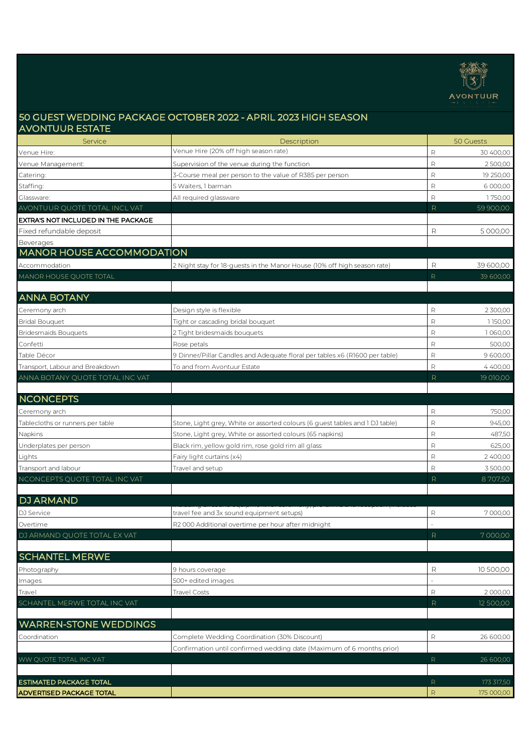

# 50 GUEST WEDDING PACKAGE OCTOBER 2022 - APRIL 2023 HIGH SEASON AVONTUUR ESTATE

| Service                             | Description                                                                  |              | 50 Guests  |
|-------------------------------------|------------------------------------------------------------------------------|--------------|------------|
| Venue Hire:                         | Venue Hire (20% off high season rate)                                        | $\mathsf{R}$ | 30 400,00  |
| Venue Management:                   | Supervision of the venue during the function                                 | R            | 2500,00    |
| Catering:                           | 3-Course meal per person to the value of R385 per person                     | $\mathsf{R}$ | 19 250,00  |
| Staffing:                           | 5 Waiters, 1 barman                                                          | R            | 6 000,00   |
| Glassware:                          | All required glassware                                                       | $\mathsf{R}$ | 1750,00    |
| AVONTUUR QUOTE TOTAL INCL VAT       |                                                                              | R            | 59 900,00  |
| EXTRA'S NOT INCLUDED IN THE PACKAGE |                                                                              |              |            |
| Fixed refundable deposit            |                                                                              | R            | 5 000,00   |
| Beverages                           |                                                                              |              |            |
| <b>MANOR HOUSE ACCOMMODATION</b>    |                                                                              |              |            |
| Accommodation                       | 2 Night stay for 18-guests in the Manor House (10% off high season rate)     | R            | 39 600,00  |
| MANOR HOUSE QUOTE TOTAL             |                                                                              | R            | 39 600,00  |
|                                     |                                                                              |              |            |
| <b>ANNA BOTANY</b>                  |                                                                              |              |            |
| Ceremony arch                       | Design style is flexible                                                     | R            | 2 300,00   |
| <b>Bridal Bouquet</b>               | Tight or cascading bridal bouquet                                            | $\mathsf{R}$ | 1150,00    |
| <b>Bridesmaids Bouquets</b>         | 2 Tight bridesmaids bouquets                                                 | $\mathsf{R}$ | 1060,00    |
| Confetti                            | Rose petals                                                                  | $\mathsf{R}$ | 500,00     |
| Table Décor                         | 9 Dinner/Pillar Candles and Adequate floral per tables x6 (R1600 per table)  | $\mathsf{R}$ | 9 600,00   |
| Transport, Labour and Breakdown     | To and from Avontuur Estate                                                  | $\mathsf{R}$ | 4400,00    |
| ANNA BOTANY QUOTE TOTAL INC VAT     |                                                                              | R            | 19 010,00  |
|                                     |                                                                              |              |            |
| <b>NCONCEPTS</b>                    |                                                                              |              |            |
| Ceremony arch                       |                                                                              | R            | 750,00     |
| Tablecloths or runners per table    | Stone, Light grey, White or assorted colours (6 guest tables and 1 DJ table) | $\mathsf{R}$ | 945,00     |
| Napkins                             | Stone, Light grey, White or assorted colours (65 napkins)                    | $\mathsf{R}$ | 487,50     |
| Underplates per person              | Black rim, yellow gold rim, rose gold rim all glass                          | $\mathsf{R}$ | 625,00     |
| Lights                              | Fairy light curtains (x4)                                                    | $\mathsf{R}$ | 2 400,00   |
| Transport and labour                | Travel and setup                                                             | $\mathsf{R}$ | 3500,00    |
| NCONCEPTS QUOTE TOTAL INC VAT       |                                                                              | R            | 8707,50    |
|                                     |                                                                              |              |            |
| <b>DJ ARMAND</b>                    |                                                                              |              |            |
| DJ Service                          | travel fee and 3x sound equipment setups)                                    | R            | 7000,00    |
| Overtime                            | R2 000 Additional overtime per hour after midnight                           |              |            |
| DJ ARMAND QUOTE TOTAL EX VAT        |                                                                              | R,           | 7 000,00   |
|                                     |                                                                              |              |            |
| <b>SCHANTEL MERWE</b>               |                                                                              |              |            |
| Photography                         | 9 hours coverage                                                             | R            | 10 500,00  |
| Images                              | 500+ edited images                                                           |              |            |
| Travel                              | <b>Travel Costs</b>                                                          | $\mathsf R$  | 2 000,00   |
| SCHANTEL MERWE TOTAL INC VAT        |                                                                              | $\mathsf{R}$ | 12 500,00  |
|                                     |                                                                              |              |            |
| <b>WARREN-STONE WEDDINGS</b>        |                                                                              |              |            |
| Coordination                        | Complete Wedding Coordination (30% Discount)                                 | $\mathsf{R}$ | 26 600,00  |
|                                     | Confirmation until confirmed wedding date (Maximum of 6 months prior)        |              |            |
| WW QUOTE TOTAL INC VAT              |                                                                              | $\mathsf{R}$ | 26 600,00  |
|                                     |                                                                              |              |            |
| ESTIMATED PACKAGE TOTAL             |                                                                              | R            | 173 317,50 |
| <b>ADVERTISED PACKAGE TOTAL</b>     |                                                                              | $\mathsf R$  | 175 000,00 |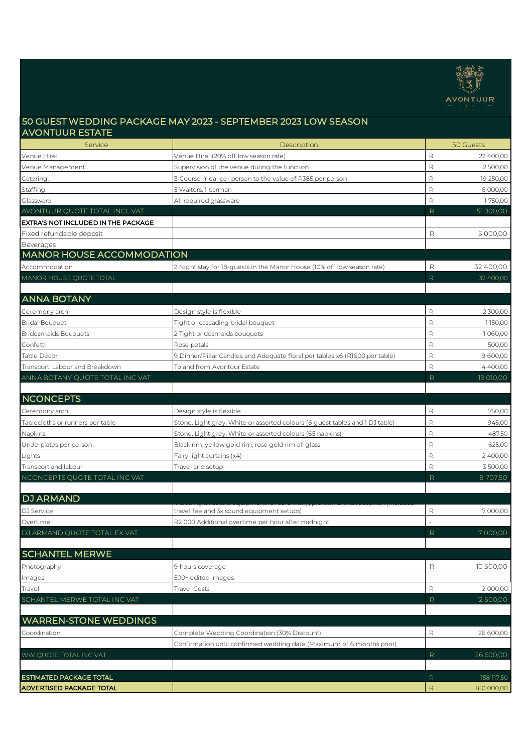

## 50 GUEST WEDDING PACKAGE MAY 2023 - SEPTEMBER 2023 LOW SEASON AVONTUUR ESTATE

| Service                             | Description                                                                  |              | 50 Guests  |
|-------------------------------------|------------------------------------------------------------------------------|--------------|------------|
| Venue Hire:                         | Venue Hire (20% off low season rate)                                         | R            | 22 400,00  |
| Venue Management:                   | Supervision of the venue during the function                                 | $\mathsf R$  | 2500,00    |
| Catering:                           | 3-Course meal per person to the value of R385 per person                     | $\mathsf R$  | 19 250,00  |
| Staffing:                           | 5 Waiters, 1 barman                                                          | $\mathsf R$  | 6 000,00   |
| Glassware:                          | All required glassware                                                       | $\mathsf{R}$ | 1750,00    |
| AVONTUUR QUOTE TOTAL INCL VAT       |                                                                              | R            | 51900,00   |
| EXTRA'S NOT INCLUDED IN THE PACKAGE |                                                                              |              |            |
| Fixed refundable deposit            |                                                                              | R            | 5 000,00   |
| Beverages                           |                                                                              |              |            |
| <b>MANOR HOUSE ACCOMMODATION</b>    |                                                                              |              |            |
| Accommodation                       | 2 Night stay for 18-guests in the Manor House (10% off low season rate)      | R            | 32 400,00  |
| MANOR HOUSE QUOTE TOTAL             |                                                                              | $\mathsf{R}$ | 32 400,00  |
|                                     |                                                                              |              |            |
| <b>ANNA BOTANY</b>                  |                                                                              |              |            |
| Ceremony arch                       | Design style is flexible                                                     | R            | 2 300,00   |
| <b>Bridal Bouquet</b>               | Tight or cascading bridal bouquet                                            | $\mathsf R$  | 1150,00    |
| <b>Bridesmaids Bouquets</b>         | 2 Tight bridesmaids bouquets                                                 | $\mathsf{R}$ | 1060,00    |
| Confetti                            | Rose petals                                                                  | $\mathsf{R}$ | 500,00     |
| Table Décor                         | 9 Dinner/Pillar Candles and Adequate floral per tables x6 (R1600 per table)  | $\mathsf R$  | 9 600,00   |
| Transport, Labour and Breakdown     | To and from Avontuur Estate                                                  | $\mathsf{R}$ | 4400.00    |
| ANNA BOTANY QUOTE TOTAL INC VAT     |                                                                              | R            | 19 010,00  |
|                                     |                                                                              |              |            |
| <b>NCONCEPTS</b>                    |                                                                              |              |            |
| Ceremony arch                       | Design style is flexible                                                     | $\mathsf R$  | 750,00     |
| Tablecloths or runners per table    | Stone, Light grey, White or assorted colours (6 guest tables and 1 DJ table) | $\mathsf{R}$ | 945,00     |
| Napkins                             | Stone, Light grey, White or assorted colours (65 napkins)                    | $\mathsf{R}$ | 487,50     |
| Underplates per person              | Black rim, yellow gold rim, rose gold rim all glass                          | $\mathsf{R}$ | 625,00     |
| Lights                              | Fairy light curtains (x4)                                                    | $\mathsf R$  | 2400,00    |
| Transport and labour                | Travel and setup                                                             | $\mathsf{R}$ | 3 500,00   |
| NCONCEPTS QUOTE TOTAL INC VAT       |                                                                              | R.           | 8707,50    |
|                                     |                                                                              |              |            |
| <b>DJ ARMAND</b>                    |                                                                              |              |            |
| DJ Service                          | travel fee and 3x sound equipment setups)                                    | R            | 7000,00    |
| Overtime                            | R2 000 Additional overtime per hour after midnight                           |              |            |
| DJ ARMAND QUOTE TOTAL EX VAT        |                                                                              | R            | 7000,00    |
|                                     |                                                                              |              |            |
| <b>SCHANTEL MERWE</b>               |                                                                              |              |            |
| Photography                         | 9 hours coverage                                                             | R            | 10 500,00  |
| Images                              | 500+ edited images                                                           |              |            |
| Travel                              | <b>Travel Costs</b>                                                          | $\mathsf{R}$ | 2 000,00   |
| SCHANTEL MERWE TOTAL INC VAT        |                                                                              | R            | 12 500,00  |
|                                     |                                                                              |              |            |
| <b>WARREN-STONE WEDDINGS</b>        |                                                                              |              |            |
| Coordination                        | Complete Wedding Coordination (30% Discount)                                 | R            | 26 600,00  |
|                                     | Confirmation until confirmed wedding date (Maximum of 6 months prior)        |              |            |
| WW QUOTE TOTAL INC VAT              |                                                                              | R            | 26 600,00  |
|                                     |                                                                              |              |            |
| <b>ESTIMATED PACKAGE TOTAL</b>      |                                                                              | $\mathsf{R}$ | 158 117,50 |
| <b>ADVERTISED PACKAGE TOTAL</b>     |                                                                              | $\mathsf R$  | 160 000,00 |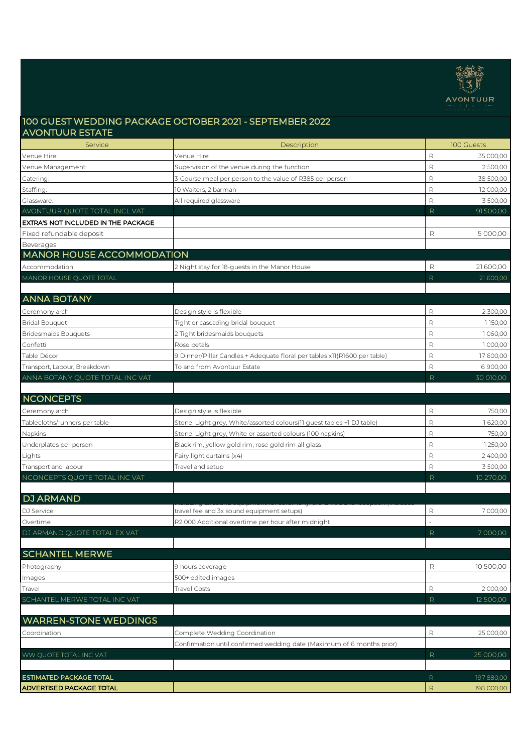

## 100 GUEST WEDDING PACKAGE OCTOBER 2021 - SEPTEMBER 2022 AVONTUUR ESTATE

| Service                             | Description                                                               |              | 100 Guests |
|-------------------------------------|---------------------------------------------------------------------------|--------------|------------|
| Venue Hire:                         | Venue Hire                                                                | $\mathsf{R}$ | 35 000,00  |
| Venue Management:                   | Supervision of the venue during the function                              | $\mathsf{R}$ | 2500,00    |
| Catering:                           | 3-Course meal per person to the value of R385 per person                  | $\mathsf{R}$ | 38 500,00  |
| Staffing:                           | 10 Waiters, 2 barman                                                      | $\mathsf{R}$ | 12 000,00  |
| Glassware:                          | All required glassware                                                    | $\mathsf{R}$ | 3 500,00   |
| AVONTUUR QUOTE TOTAL INCL VAT       |                                                                           | R            | 91500,00   |
| EXTRA'S NOT INCLUDED IN THE PACKAGE |                                                                           |              |            |
| Fixed refundable deposit            |                                                                           | R            | 5 000,00   |
| Beverages                           |                                                                           |              |            |
| <b>MANOR HOUSE ACCOMMODATION</b>    |                                                                           |              |            |
| Accommodation                       | 2 Night stay for 18-guests in the Manor House                             | R            | 21600,00   |
| MANOR HOUSE QUOTE TOTAL             |                                                                           | R            | 21 600,00  |
|                                     |                                                                           |              |            |
| <b>ANNA BOTANY</b>                  |                                                                           |              |            |
| Ceremony arch                       | Design style is flexible                                                  | $\mathsf{R}$ | 2 300,00   |
| <b>Bridal Bouquet</b>               | Tight or cascading bridal bouquet                                         | $\mathsf{R}$ | 1150,00    |
| <b>Bridesmaids Bouquets</b>         | 2 Tight bridesmaids bouguets                                              | $\mathsf{R}$ | 1060,00    |
| Confetti                            | Rose petals                                                               | $\mathsf{R}$ | 1000,00    |
| Table Décor                         | 9 Dinner/Pillar Candles + Adequate floral per tables x11(R1600 per table) | $\mathsf{R}$ | 17600,00   |
| Transport, Labour, Breakdown        | To and from Avontuur Estate                                               | $\mathsf{R}$ | 6900,00    |
| ANNA BOTANY QUOTE TOTAL INC VAT     |                                                                           | R            | 30 010,00  |
|                                     |                                                                           |              |            |
| <b>NCONCEPTS</b>                    |                                                                           |              |            |
| Ceremony arch                       | Design style is flexible                                                  | $\mathsf{R}$ | 750,00     |
| Tablecloths/runners per table       | Stone, Light grey, White/assorted colours(11 guest tables +1 DJ table)    | $\mathsf{R}$ | 1620,00    |
| Napkins                             | Stone, Light grey, White or assorted colours (100 napkins)                | $\mathsf{R}$ | 750,00     |
| Underplates per person              | Black rim, yellow gold rim, rose gold rim all glass                       | $\mathsf{R}$ | 1250,00    |
| Lights                              | Fairy light curtains (x4)                                                 | $\mathsf{R}$ | 2400,00    |
| Transport and labour                | Travel and setup                                                          | $\mathsf R$  | 3500,00    |
| NCONCEPTS QUOTE TOTAL INC VAT       |                                                                           | R            | 10 270,00  |
|                                     |                                                                           |              |            |
| <b>DJ ARMAND</b>                    |                                                                           |              |            |
| DJ Service                          | travel fee and 3x sound equipment setups)                                 | R            | 7000,00    |
| Overtime                            | R2 000 Additional overtime per hour after midnight                        |              |            |
| DJ ARMAND QUOTE TOTAL EX VAT        |                                                                           | R            | 7000,00    |
|                                     |                                                                           |              |            |
| <b>SCHANTEL MERWE</b>               |                                                                           |              |            |
| Photography                         | 9 hours coverage                                                          | R            | 10 500,00  |
| Images                              | 500+ edited images                                                        |              |            |
| Travel                              | <b>Travel Costs</b>                                                       | R            | 2000,00    |
| SCHANTEL MERWE TOTAL INC VAT        |                                                                           | R            | 12 500,00  |
|                                     |                                                                           |              |            |
| <b>WARREN-STONE WEDDINGS</b>        |                                                                           |              |            |
| Coordination                        | Complete Wedding Coordination                                             | $\mathsf{R}$ | 25 000,00  |
|                                     | Confirmation until confirmed wedding date (Maximum of 6 months prior)     |              |            |
| WW QUOTE TOTAL INC VAT              |                                                                           | R.           | 25 000,00  |
|                                     |                                                                           |              |            |
| ESTIMATED PACKAGE TOTAL             |                                                                           | $\mathsf{R}$ | 197 880,00 |
| ADVERTISED PACKAGE TOTAL            |                                                                           | $\mathsf R$  | 198 000,00 |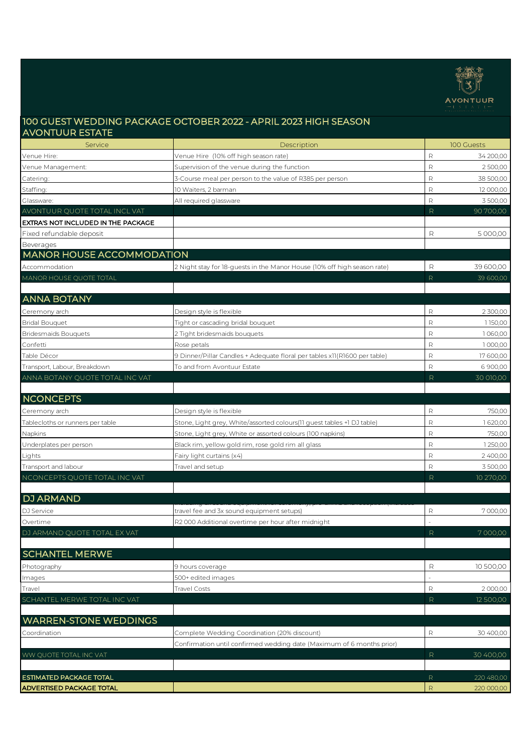

## 100 GUEST WEDDING PACKAGE OCTOBER 2022 - APRIL 2023 HIGH SEASON AVONTUUR ESTATE

| Service                             | Description                                                               |              | 100 Guests |
|-------------------------------------|---------------------------------------------------------------------------|--------------|------------|
| Venue Hire:                         | Venue Hire (10% off high season rate)                                     | $\mathsf{R}$ | 34 200,00  |
| Venue Management:                   | Supervision of the venue during the function                              | $\mathsf{R}$ | 2500,00    |
| Catering:                           | 3-Course meal per person to the value of R385 per person                  | R            | 38 500,00  |
| Staffing:                           | 10 Waiters, 2 barman                                                      | $\mathsf{R}$ | 12 000,00  |
| Glassware:                          | All required glassware                                                    | R            | 3500,00    |
| AVONTUUR QUOTE TOTAL INCL VAT       |                                                                           | R            | 90 700,00  |
| EXTRA'S NOT INCLUDED IN THE PACKAGE |                                                                           |              |            |
| Fixed refundable deposit            |                                                                           | R            | 5 000,00   |
| <b>Beverages</b>                    |                                                                           |              |            |
| <b>MANOR HOUSE ACCOMMODATION</b>    |                                                                           |              |            |
| Accommodation                       | 2 Night stay for 18-guests in the Manor House (10% off high season rate)  | R            | 39 600,00  |
| MANOR HOUSE QUOTE TOTAL             |                                                                           | $\mathsf{R}$ | 39 600,00  |
|                                     |                                                                           |              |            |
| <b>ANNA BOTANY</b>                  |                                                                           |              |            |
| Ceremony arch                       | Design style is flexible                                                  | $\mathsf{R}$ | 2 300,00   |
| <b>Bridal Bouquet</b>               | Tight or cascading bridal bouquet                                         | $\mathsf{R}$ | 1150,00    |
| <b>Bridesmaids Bouquets</b>         | 2 Tight bridesmaids bouguets                                              | $\mathsf{R}$ | 1060,00    |
| Confetti                            | Rose petals                                                               | $\mathsf{R}$ | 1000,00    |
| Table Décor                         | 9 Dinner/Pillar Candles + Adequate floral per tables x11(R1600 per table) | $\mathsf R$  | 17600,00   |
| Transport, Labour, Breakdown        | To and from Avontuur Estate                                               | $\mathsf{R}$ | 6900,00    |
| ANNA BOTANY QUOTE TOTAL INC VAT     |                                                                           | R            | 30 010,00  |
|                                     |                                                                           |              |            |
| <b>NCONCEPTS</b>                    |                                                                           |              |            |
| Ceremony arch                       | Design style is flexible                                                  | $\mathsf R$  | 750,00     |
| Tablecloths or runners per table    | Stone, Light grey, White/assorted colours(11 guest tables +1 DJ table)    | $\mathsf R$  | 1620,00    |
| Napkins                             | Stone, Light grey, White or assorted colours (100 napkins)                | $\mathsf R$  | 750,00     |
| Underplates per person              | Black rim, yellow gold rim, rose gold rim all glass                       | $\mathsf R$  | 1250,00    |
| Lights                              | Fairy light curtains (x4)                                                 | $\mathsf R$  | 2 400,00   |
| Transport and labour                | Travel and setup                                                          | $\mathsf R$  | 3500,00    |
| NCONCEPTS QUOTE TOTAL INC VAT       |                                                                           | R            | 10 270,00  |
|                                     |                                                                           |              |            |
| <b>DJ ARMAND</b>                    |                                                                           |              |            |
| DJ Service                          | travel fee and 3x sound equipment setups)                                 | R            | 7000,00    |
| Overtime                            | R2 000 Additional overtime per hour after midnight                        |              |            |
| DJ ARMAND QUOTE TOTAL EX VAT        |                                                                           | R            | 7000,00    |
|                                     |                                                                           |              |            |
| <b>SCHANTEL MERWE</b>               |                                                                           |              |            |
| Photography                         | 9 hours coverage                                                          | R            | 10 500,00  |
| Images                              | 500+ edited images                                                        |              |            |
| Travel                              | Travel Costs                                                              | $\mathsf R$  | 2000,00    |
| SCHANTEL MERWE TOTAL INC VAT        |                                                                           | R            | 12 500,00  |
|                                     |                                                                           |              |            |
| <b>WARREN-STONE WEDDINGS</b>        |                                                                           |              |            |
| Coordination                        | Complete Wedding Coordination (20% discount)                              | R            | 30 400,00  |
|                                     | Confirmation until confirmed wedding date (Maximum of 6 months prior)     |              |            |
| WW QUOTE TOTAL INC VAT              |                                                                           | R            | 30 400,00  |
|                                     |                                                                           |              |            |
| <b>ESTIMATED PACKAGE TOTAL</b>      |                                                                           | R            | 220 480,00 |
| ADVERTISED PACKAGE TOTAL            |                                                                           | $\mathsf R$  | 220 000,00 |